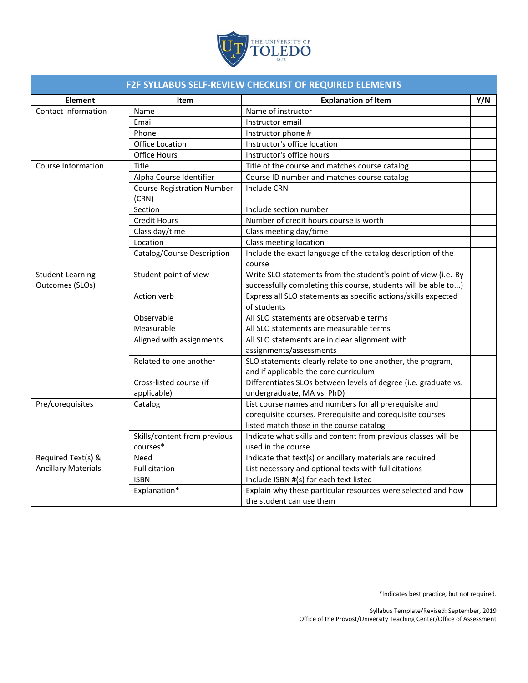

| <b>F2F SYLLABUS SELF-REVIEW CHECKLIST OF REQUIRED ELEMENTS</b> |                                            |                                                                               |     |  |
|----------------------------------------------------------------|--------------------------------------------|-------------------------------------------------------------------------------|-----|--|
| <b>Element</b>                                                 | Item                                       | <b>Explanation of Item</b>                                                    | Y/N |  |
| Contact Information                                            | Name                                       | Name of instructor                                                            |     |  |
|                                                                | Email                                      | Instructor email                                                              |     |  |
|                                                                | Phone                                      | Instructor phone #                                                            |     |  |
|                                                                | <b>Office Location</b>                     | Instructor's office location                                                  |     |  |
|                                                                | <b>Office Hours</b>                        | Instructor's office hours                                                     |     |  |
| Course Information                                             | Title                                      | Title of the course and matches course catalog                                |     |  |
|                                                                | Alpha Course Identifier                    | Course ID number and matches course catalog                                   |     |  |
|                                                                | <b>Course Registration Number</b><br>(CRN) | Include CRN                                                                   |     |  |
|                                                                | Section                                    | Include section number                                                        |     |  |
|                                                                | <b>Credit Hours</b>                        | Number of credit hours course is worth                                        |     |  |
|                                                                | Class day/time                             | Class meeting day/time                                                        |     |  |
|                                                                | Location                                   | Class meeting location                                                        |     |  |
|                                                                | Catalog/Course Description                 | Include the exact language of the catalog description of the                  |     |  |
|                                                                |                                            | course                                                                        |     |  |
| <b>Student Learning</b>                                        | Student point of view                      | Write SLO statements from the student's point of view (i.e.-By                |     |  |
| Outcomes (SLOs)                                                |                                            | successfully completing this course, students will be able to)                |     |  |
|                                                                | Action verb                                | Express all SLO statements as specific actions/skills expected<br>of students |     |  |
|                                                                | Observable                                 | All SLO statements are observable terms                                       |     |  |
|                                                                | Measurable                                 | All SLO statements are measurable terms                                       |     |  |
|                                                                | Aligned with assignments                   | All SLO statements are in clear alignment with                                |     |  |
|                                                                |                                            | assignments/assessments                                                       |     |  |
|                                                                | Related to one another                     | SLO statements clearly relate to one another, the program,                    |     |  |
|                                                                |                                            | and if applicable-the core curriculum                                         |     |  |
|                                                                | Cross-listed course (if                    | Differentiates SLOs between levels of degree (i.e. graduate vs.               |     |  |
|                                                                | applicable)                                | undergraduate, MA vs. PhD)                                                    |     |  |
| Pre/corequisites                                               | Catalog                                    | List course names and numbers for all prerequisite and                        |     |  |
|                                                                |                                            | corequisite courses. Prerequisite and corequisite courses                     |     |  |
|                                                                |                                            | listed match those in the course catalog                                      |     |  |
|                                                                | Skills/content from previous               | Indicate what skills and content from previous classes will be                |     |  |
|                                                                | courses*                                   | used in the course                                                            |     |  |
| Required Text(s) &                                             | Need                                       | Indicate that text(s) or ancillary materials are required                     |     |  |
| <b>Ancillary Materials</b>                                     | <b>Full citation</b>                       | List necessary and optional texts with full citations                         |     |  |
|                                                                | <b>ISBN</b>                                | Include ISBN #(s) for each text listed                                        |     |  |
|                                                                | Explanation*                               | Explain why these particular resources were selected and how                  |     |  |
|                                                                |                                            | the student can use them                                                      |     |  |

\*Indicates best practice, but not required.